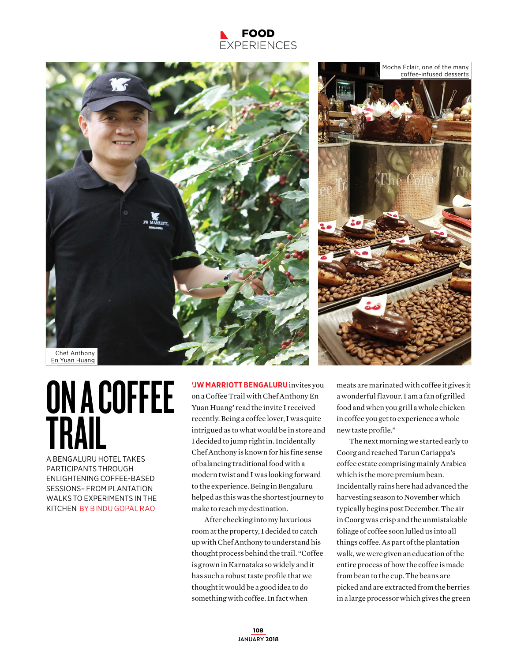## FOOD **XPERIENCES**



## ON A COFFEE TRAIL A BENGALURU HOTEL TAKES

PARTICIPANTS THROUGH ENLIGHTENING COFFEE-BASED SESSIONS– FROM PLANTATION WALKS TO EXPERIMENTS IN THE KITCHEN BY BINDU GOPAL RAO

**'JW MARRIOTT BENGALURU** invites you on a Coffee Trail with Chef Anthony En Yuan Huang' read the invite I received recently. Being a coffee lover, I was quite intrigued as to what would be in store and I decided to jump right in. Incidentally Chef Anthony is known for his fine sense of balancing traditional food with a modern twist and I was looking forward to the experience. Being in Bengaluru helped as this was the shortest journey to make to reach my destination.

After checking into my luxurious room at the property, I decided to catch up with Chef Anthony to understand his thought process behind the trail. "Coffee is grown in Karnataka so widely and it has such a robust taste profile that we thought it would be a good idea to do something with coffee. In fact when

meats are marinated with coffee it gives it a wonderful flavour. I am a fan of grilled food and when you grill a whole chicken in coffee you get to experience a whole new taste profile."

The next morning we started early to Coorg and reached Tarun Cariappa's coffee estate comprising mainly Arabica which is the more premium bean. Incidentally rains here had advanced the harvesting season to November which typically begins post December. The air in Coorg was crisp and the unmistakable foliage of coffee soon lulled us into all things coffee. As part of the plantation walk, we were given an education of the entire process of how the coffee is made from bean to the cup. The beans are picked and are extracted from the berries in a large processor which gives the green